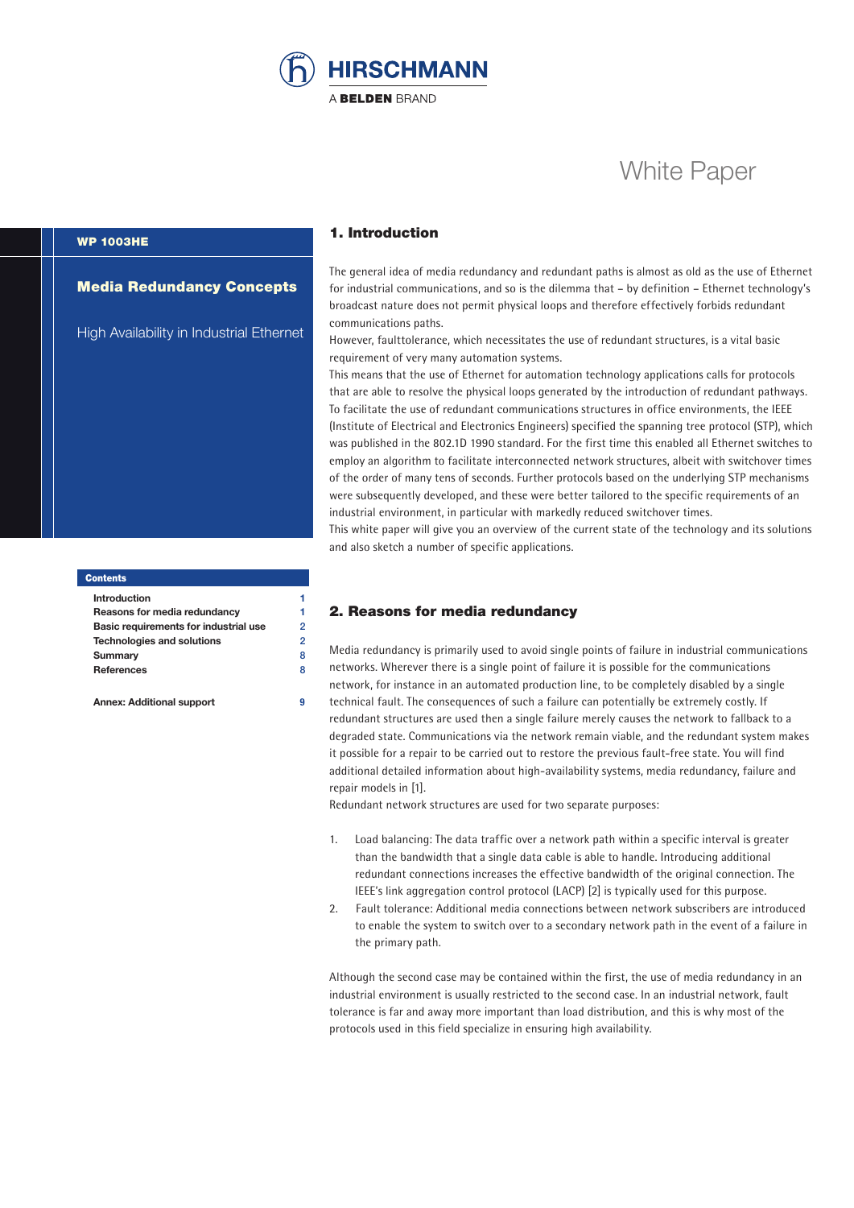

# White Paper

# WP 1003HE

#### Media Redundancy Concepts

High Availability in Industrial Ethernet

# **Contents**

**Introduction** 1 **Reasons for media redundancy 1 Basic requirements for industrial use** 2 **Technologies and solutions** 2 **Summary** 8 **References** 8

**Annex: Additional support 9**

#### 1. Introduction

The general idea of media redundancy and redundant paths is almost as old as the use of Ethernet for industrial communications, and so is the dilemma that – by definition – Ethernet technology's broadcast nature does not permit physical loops and therefore effectively forbids redundant communications paths.

However, faulttolerance, which necessitates the use of redundant structures, is a vital basic requirement of very many automation systems.

This means that the use of Ethernet for automation technology applications calls for protocols that are able to resolve the physical loops generated by the introduction of redundant pathways. To facilitate the use of redundant communications structures in office environments, the IEEE (Institute of Electrical and Electronics Engineers) specified the spanning tree protocol (STP), which was published in the 802.1D 1990 standard. For the first time this enabled all Ethernet switches to employ an algorithm to facilitate interconnected network structures, albeit with switchover times of the order of many tens of seconds. Further protocols based on the underlying STP mechanisms were subsequently developed, and these were better tailored to the specific requirements of an industrial environment, in particular with markedly reduced switchover times. This white paper will give you an overview of the current state of the technology and its solutions

and also sketch a number of specific applications.

#### 2. Reasons for media redundancy

Media redundancy is primarily used to avoid single points of failure in industrial communications networks. Wherever there is a single point of failure it is possible for the communications network, for instance in an automated production line, to be completely disabled by a single

technical fault. The consequences of such a failure can potentially be extremely costly. If redundant structures are used then a single failure merely causes the network to fallback to a degraded state. Communications via the network remain viable, and the redundant system makes it possible for a repair to be carried out to restore the previous fault-free state. You will find additional detailed information about high-availability systems, media redundancy, failure and repair models in [1].

Redundant network structures are used for two separate purposes:

- 1. Load balancing: The data traffic over a network path within a specific interval is greater than the bandwidth that a single data cable is able to handle. Introducing additional redundant connections increases the effective bandwidth of the original connection. The IEEE's link aggregation control protocol (LACP) [2] is typically used for this purpose.
- 2. Fault tolerance: Additional media connections between network subscribers are introduced to enable the system to switch over to a secondary network path in the event of a failure in the primary path.

Although the second case may be contained within the first, the use of media redundancy in an industrial environment is usually restricted to the second case. In an industrial network, fault tolerance is far and away more important than load distribution, and this is why most of the protocols used in this field specialize in ensuring high availability.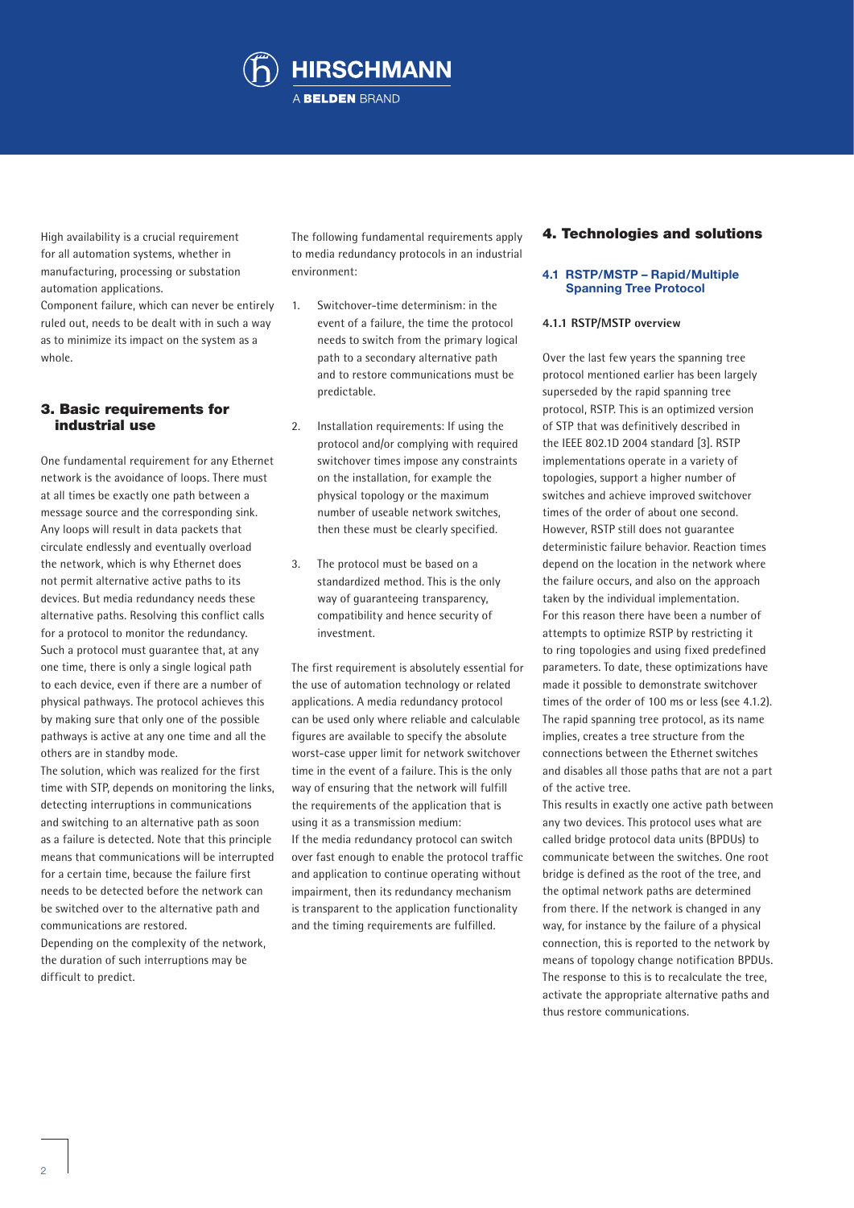

High availability is a crucial requirement for all automation systems, whether in manufacturing, processing or substation automation applications.

Component failure, which can never be entirely ruled out, needs to be dealt with in such a way as to minimize its impact on the system as a whole.

# 3. Basic requirements for industrial use

One fundamental requirement for any Ethernet network is the avoidance of loops. There must at all times be exactly one path between a message source and the corresponding sink. Any loops will result in data packets that circulate endlessly and eventually overload the network, which is why Ethernet does not permit alternative active paths to its devices. But media redundancy needs these alternative paths. Resolving this conflict calls for a protocol to monitor the redundancy. Such a protocol must guarantee that, at any one time, there is only a single logical path to each device, even if there are a number of physical pathways. The protocol achieves this by making sure that only one of the possible pathways is active at any one time and all the others are in standby mode.

The solution, which was realized for the first time with STP, depends on monitoring the links, detecting interruptions in communications and switching to an alternative path as soon as a failure is detected. Note that this principle means that communications will be interrupted for a certain time, because the failure first needs to be detected before the network can be switched over to the alternative path and communications are restored.

Depending on the complexity of the network, the duration of such interruptions may be difficult to predict.

The following fundamental requirements apply to media redundancy protocols in an industrial environment:

- 1. Switchover-time determinism: in the event of a failure, the time the protocol needs to switch from the primary logical path to a secondary alternative path and to restore communications must be predictable.
- 2. Installation requirements: If using the protocol and/or complying with required switchover times impose any constraints on the installation, for example the physical topology or the maximum number of useable network switches, then these must be clearly specified.
- 3. The protocol must be based on a standardized method. This is the only way of guaranteeing transparency, compatibility and hence security of investment.

The first requirement is absolutely essential for the use of automation technology or related applications. A media redundancy protocol can be used only where reliable and calculable figures are available to specify the absolute worst-case upper limit for network switchover time in the event of a failure. This is the only way of ensuring that the network will fulfill the requirements of the application that is using it as a transmission medium: If the media redundancy protocol can switch over fast enough to enable the protocol traffic and application to continue operating without

impairment, then its redundancy mechanism is transparent to the application functionality and the timing requirements are fulfilled.

# 4. Technologies and solutions

#### **4.1 RSTP/MSTP – Rapid/Multiple Spanning Tree Protocol**

### **4.1.1 RSTP/MSTP overview**

Over the last few years the spanning tree protocol mentioned earlier has been largely superseded by the rapid spanning tree protocol, RSTP. This is an optimized version of STP that was definitively described in the IEEE 802.1D 2004 standard [3]. RSTP implementations operate in a variety of topologies, support a higher number of switches and achieve improved switchover times of the order of about one second. However, RSTP still does not guarantee deterministic failure behavior. Reaction times depend on the location in the network where the failure occurs, and also on the approach taken by the individual implementation. For this reason there have been a number of attempts to optimize RSTP by restricting it to ring topologies and using fixed predefined parameters. To date, these optimizations have made it possible to demonstrate switchover times of the order of 100 ms or less (see 4.1.2). The rapid spanning tree protocol, as its name implies, creates a tree structure from the connections between the Ethernet switches and disables all those paths that are not a part of the active tree.

This results in exactly one active path between any two devices. This protocol uses what are called bridge protocol data units (BPDUs) to communicate between the switches. One root bridge is defined as the root of the tree, and the optimal network paths are determined from there. If the network is changed in any way, for instance by the failure of a physical connection, this is reported to the network by means of topology change notification BPDUs. The response to this is to recalculate the tree, activate the appropriate alternative paths and thus restore communications.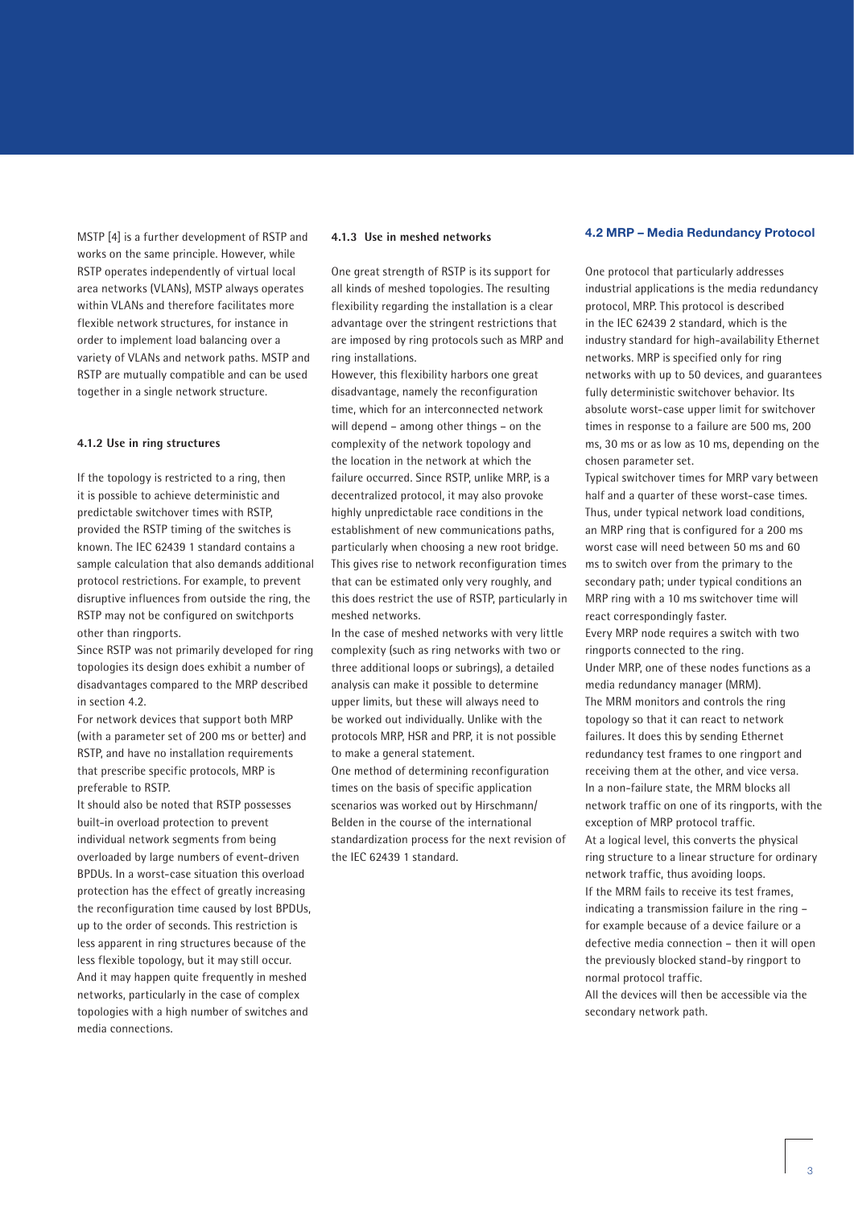MSTP [4] is a further development of RSTP and works on the same principle. However, while RSTP operates independently of virtual local area networks (VLANs), MSTP always operates within VLANs and therefore facilitates more flexible network structures, for instance in order to implement load balancing over a variety of VLANs and network paths. MSTP and RSTP are mutually compatible and can be used together in a single network structure.

#### **4.1.2 Use in ring structures**

If the topology is restricted to a ring, then it is possible to achieve deterministic and predictable switchover times with RSTP, provided the RSTP timing of the switches is known. The IEC 62439 1 standard contains a sample calculation that also demands additional protocol restrictions. For example, to prevent disruptive influences from outside the ring, the RSTP may not be configured on switchports other than ringports.

Since RSTP was not primarily developed for ring topologies its design does exhibit a number of disadvantages compared to the MRP described in section 4.2.

For network devices that support both MRP (with a parameter set of 200 ms or better) and RSTP, and have no installation requirements that prescribe specific protocols, MRP is preferable to RSTP.

It should also be noted that RSTP possesses built-in overload protection to prevent individual network segments from being overloaded by large numbers of event-driven BPDUs. In a worst-case situation this overload protection has the effect of greatly increasing the reconfiguration time caused by lost BPDUs, up to the order of seconds. This restriction is less apparent in ring structures because of the less flexible topology, but it may still occur. And it may happen quite frequently in meshed networks, particularly in the case of complex topologies with a high number of switches and media connections.

#### **4.1.3 Use in meshed networks**

One great strength of RSTP is its support for all kinds of meshed topologies. The resulting flexibility regarding the installation is a clear advantage over the stringent restrictions that are imposed by ring protocols such as MRP and ring installations.

However, this flexibility harbors one great disadvantage, namely the reconfiguration time, which for an interconnected network will depend – among other things – on the complexity of the network topology and the location in the network at which the failure occurred. Since RSTP, unlike MRP, is a decentralized protocol, it may also provoke highly unpredictable race conditions in the establishment of new communications paths, particularly when choosing a new root bridge. This gives rise to network reconfiguration times that can be estimated only very roughly, and this does restrict the use of RSTP, particularly in meshed networks.

In the case of meshed networks with very little complexity (such as ring networks with two or three additional loops or subrings), a detailed analysis can make it possible to determine upper limits, but these will always need to be worked out individually. Unlike with the protocols MRP, HSR and PRP, it is not possible to make a general statement.

One method of determining reconfiguration times on the basis of specific application scenarios was worked out by Hirschmann/ Belden in the course of the international standardization process for the next revision of the IEC 62439 1 standard.

#### **4.2 MRP – Media Redundancy Protocol**

One protocol that particularly addresses industrial applications is the media redundancy protocol, MRP. This protocol is described in the IEC 62439 2 standard, which is the industry standard for high-availability Ethernet networks. MRP is specified only for ring networks with up to 50 devices, and guarantees fully deterministic switchover behavior. Its absolute worst-case upper limit for switchover times in response to a failure are 500 ms, 200 ms, 30 ms or as low as 10 ms, depending on the chosen parameter set.

Typical switchover times for MRP vary between half and a quarter of these worst-case times. Thus, under typical network load conditions, an MRP ring that is configured for a 200 ms worst case will need between 50 ms and 60 ms to switch over from the primary to the secondary path; under typical conditions an MRP ring with a 10 ms switchover time will react correspondingly faster.

Every MRP node requires a switch with two ringports connected to the ring. Under MRP, one of these nodes functions as a media redundancy manager (MRM). The MRM monitors and controls the ring topology so that it can react to network failures. It does this by sending Ethernet redundancy test frames to one ringport and receiving them at the other, and vice versa. In a non-failure state, the MRM blocks all network traffic on one of its ringports, with the exception of MRP protocol traffic.

At a logical level, this converts the physical ring structure to a linear structure for ordinary network traffic, thus avoiding loops. If the MRM fails to receive its test frames, indicating a transmission failure in the ring –

for example because of a device failure or a defective media connection – then it will open the previously blocked stand-by ringport to normal protocol traffic.

All the devices will then be accessible via the secondary network path.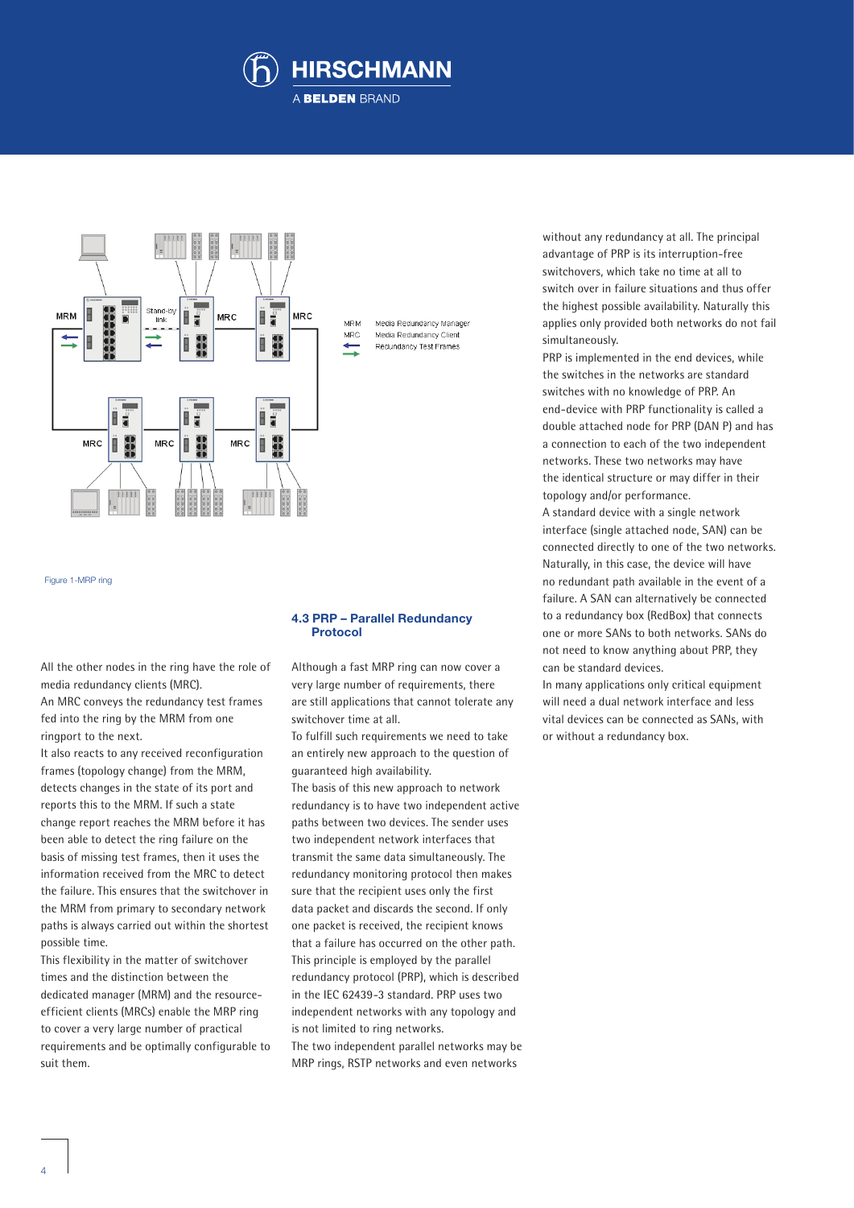



Figure 1-MRP ring

All the other nodes in the ring have the role of media redundancy clients (MRC).

An MRC conveys the redundancy test frames fed into the ring by the MRM from one ringport to the next.

It also reacts to any received reconfiguration frames (topology change) from the MRM, detects changes in the state of its port and reports this to the MRM. If such a state change report reaches the MRM before it has been able to detect the ring failure on the basis of missing test frames, then it uses the information received from the MRC to detect the failure. This ensures that the switchover in the MRM from primary to secondary network paths is always carried out within the shortest possible time.

This flexibility in the matter of switchover times and the distinction between the dedicated manager (MRM) and the resourceefficient clients (MRCs) enable the MRP ring to cover a very large number of practical requirements and be optimally configurable to suit them.

#### **4.3 PRP – Parallel Redundancy Protocol**

Although a fast MRP ring can now cover a very large number of requirements, there are still applications that cannot tolerate any switchover time at all.

To fulfill such requirements we need to take an entirely new approach to the question of guaranteed high availability.

The basis of this new approach to network redundancy is to have two independent active paths between two devices. The sender uses two independent network interfaces that transmit the same data simultaneously. The redundancy monitoring protocol then makes sure that the recipient uses only the first data packet and discards the second. If only one packet is received, the recipient knows that a failure has occurred on the other path. This principle is employed by the parallel redundancy protocol (PRP), which is described in the IEC 62439-3 standard. PRP uses two independent networks with any topology and is not limited to ring networks. The two independent parallel networks may be

MRP rings, RSTP networks and even networks

without any redundancy at all. The principal advantage of PRP is its interruption-free switchovers, which take no time at all to switch over in failure situations and thus offer the highest possible availability. Naturally this applies only provided both networks do not fail simultaneously.

PRP is implemented in the end devices, while the switches in the networks are standard switches with no knowledge of PRP. An end-device with PRP functionality is called a double attached node for PRP (DAN P) and has a connection to each of the two independent networks. These two networks may have the identical structure or may differ in their topology and/or performance.

A standard device with a single network interface (single attached node, SAN) can be connected directly to one of the two networks. Naturally, in this case, the device will have no redundant path available in the event of a failure. A SAN can alternatively be connected to a redundancy box (RedBox) that connects one or more SANs to both networks. SANs do not need to know anything about PRP, they can be standard devices.

In many applications only critical equipment will need a dual network interface and less vital devices can be connected as SANs, with or without a redundancy box.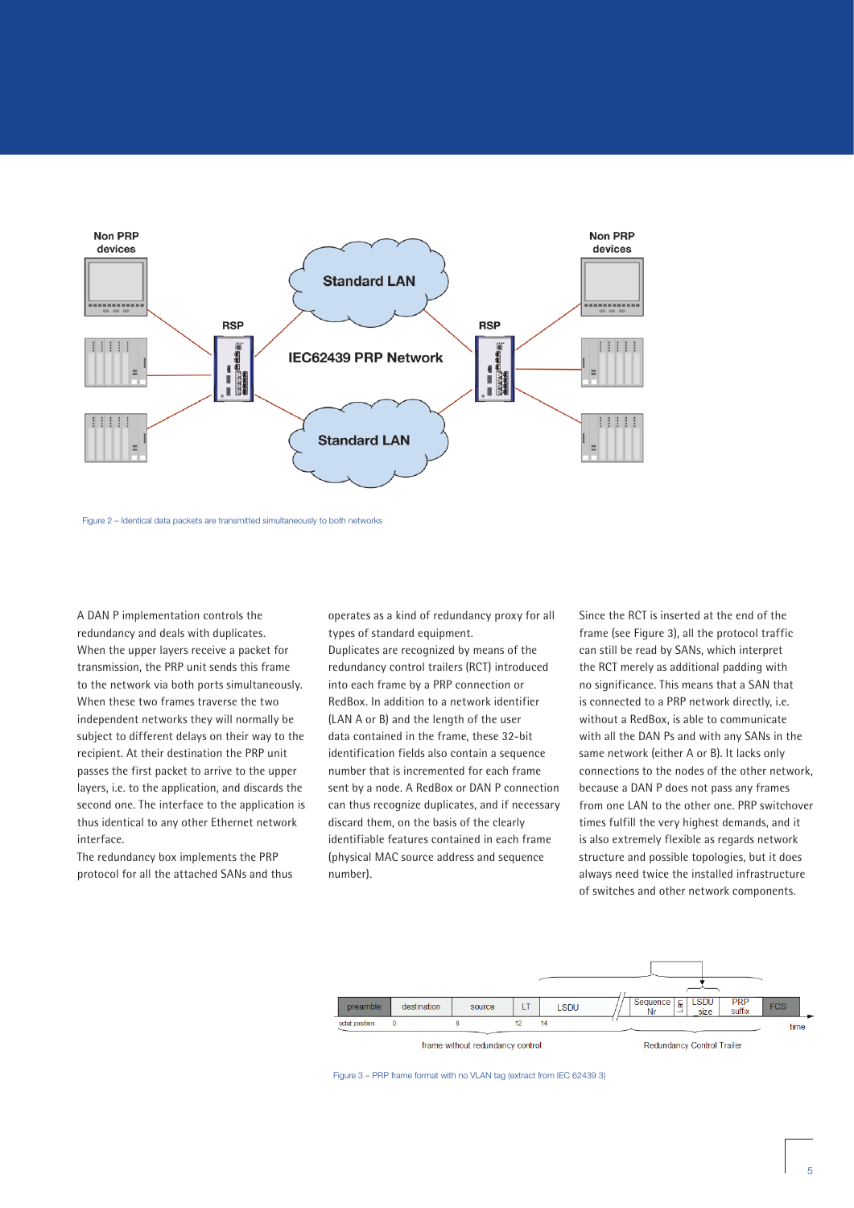

Figure 2 – Identical data packets are transmitted simultaneously to both networks

A DAN P implementation controls the redundancy and deals with duplicates. When the upper layers receive a packet for transmission, the PRP unit sends this frame to the network via both ports simultaneously. When these two frames traverse the two independent networks they will normally be subject to different delays on their way to the recipient. At their destination the PRP unit passes the first packet to arrive to the upper layers, i.e. to the application, and discards the second one. The interface to the application is thus identical to any other Ethernet network interface.

The redundancy box implements the PRP protocol for all the attached SANs and thus operates as a kind of redundancy proxy for all types of standard equipment.

Duplicates are recognized by means of the redundancy control trailers (RCT) introduced into each frame by a PRP connection or RedBox. In addition to a network identifier (LAN A or B) and the length of the user data contained in the frame, these 32-bit identification fields also contain a sequence number that is incremented for each frame sent by a node. A RedBox or DAN P connection can thus recognize duplicates, and if necessary discard them, on the basis of the clearly identifiable features contained in each frame (physical MAC source address and sequence number).

Since the RCT is inserted at the end of the frame (see Figure 3), all the protocol traffic can still be read by SANs, which interpret the RCT merely as additional padding with no significance. This means that a SAN that is connected to a PRP network directly, i.e. without a RedBox, is able to communicate with all the DAN Ps and with any SANs in the same network (either A or B). It lacks only connections to the nodes of the other network, because a DAN P does not pass any frames from one LAN to the other one. PRP switchover times fulfill the very highest demands, and it is also extremely flexible as regards network structure and possible topologies, but it does always need twice the installed infrastructure of switches and other network components.



Figure 3 – PRP frame format with no VLAN tag (extract from IEC 62439 3)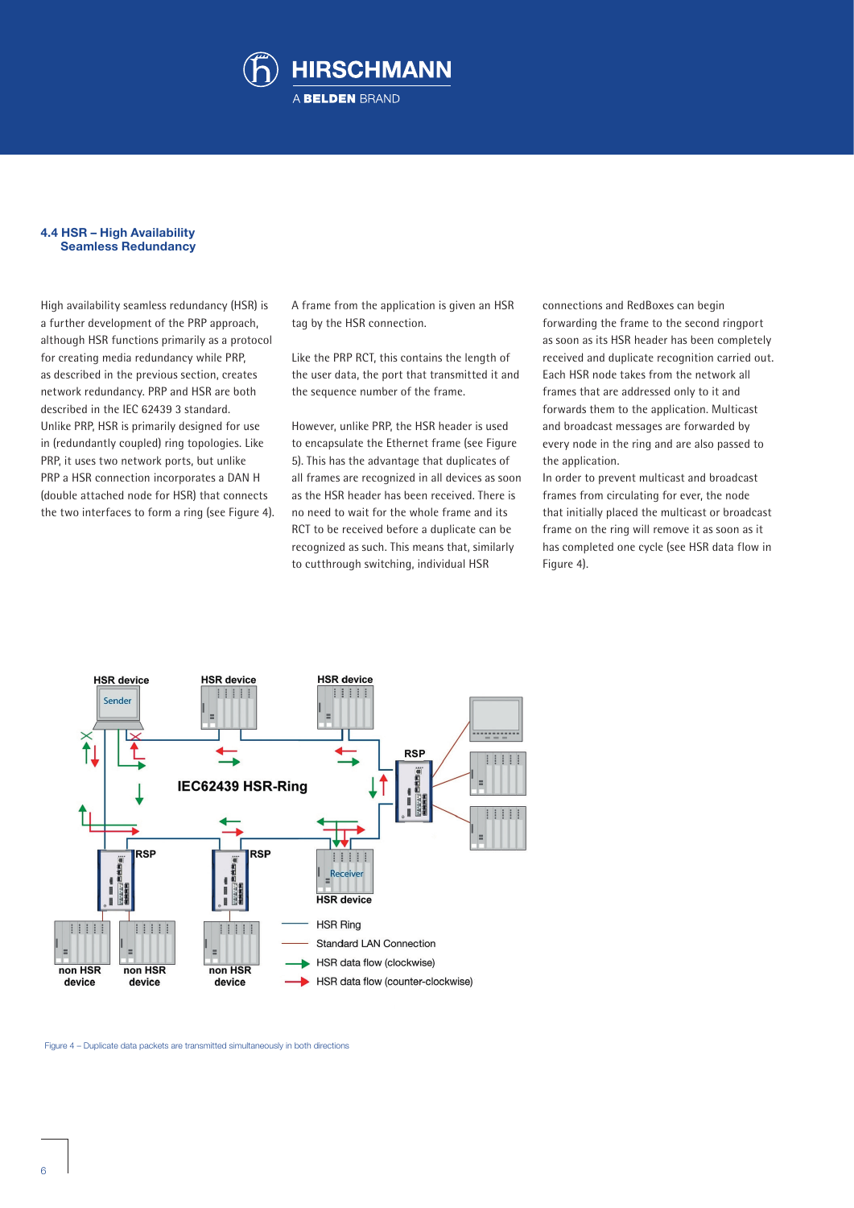

#### **4.4 HSR – High Availability Seamless Redundancy**

High availability seamless redundancy (HSR) is a further development of the PRP approach, although HSR functions primarily as a protocol for creating media redundancy while PRP, as described in the previous section, creates network redundancy. PRP and HSR are both described in the IEC 62439 3 standard. Unlike PRP, HSR is primarily designed for use in (redundantly coupled) ring topologies. Like PRP, it uses two network ports, but unlike PRP a HSR connection incorporates a DAN H (double attached node for HSR) that connects the two interfaces to form a ring (see Figure 4). A frame from the application is given an HSR tag by the HSR connection.

Like the PRP RCT, this contains the length of the user data, the port that transmitted it and the sequence number of the frame.

However, unlike PRP, the HSR header is used to encapsulate the Ethernet frame (see Figure 5). This has the advantage that duplicates of all frames are recognized in all devices as soon as the HSR header has been received. There is no need to wait for the whole frame and its RCT to be received before a duplicate can be recognized as such. This means that, similarly to cutthrough switching, individual HSR

connections and RedBoxes can begin forwarding the frame to the second ringport as soon as its HSR header has been completely received and duplicate recognition carried out. Each HSR node takes from the network all frames that are addressed only to it and forwards them to the application. Multicast and broadcast messages are forwarded by every node in the ring and are also passed to the application.

In order to prevent multicast and broadcast frames from circulating for ever, the node that initially placed the multicast or broadcast frame on the ring will remove it as soon as it has completed one cycle (see HSR data flow in Figure 4).



Figure 4 – Duplicate data packets are transmitted simultaneously in both directions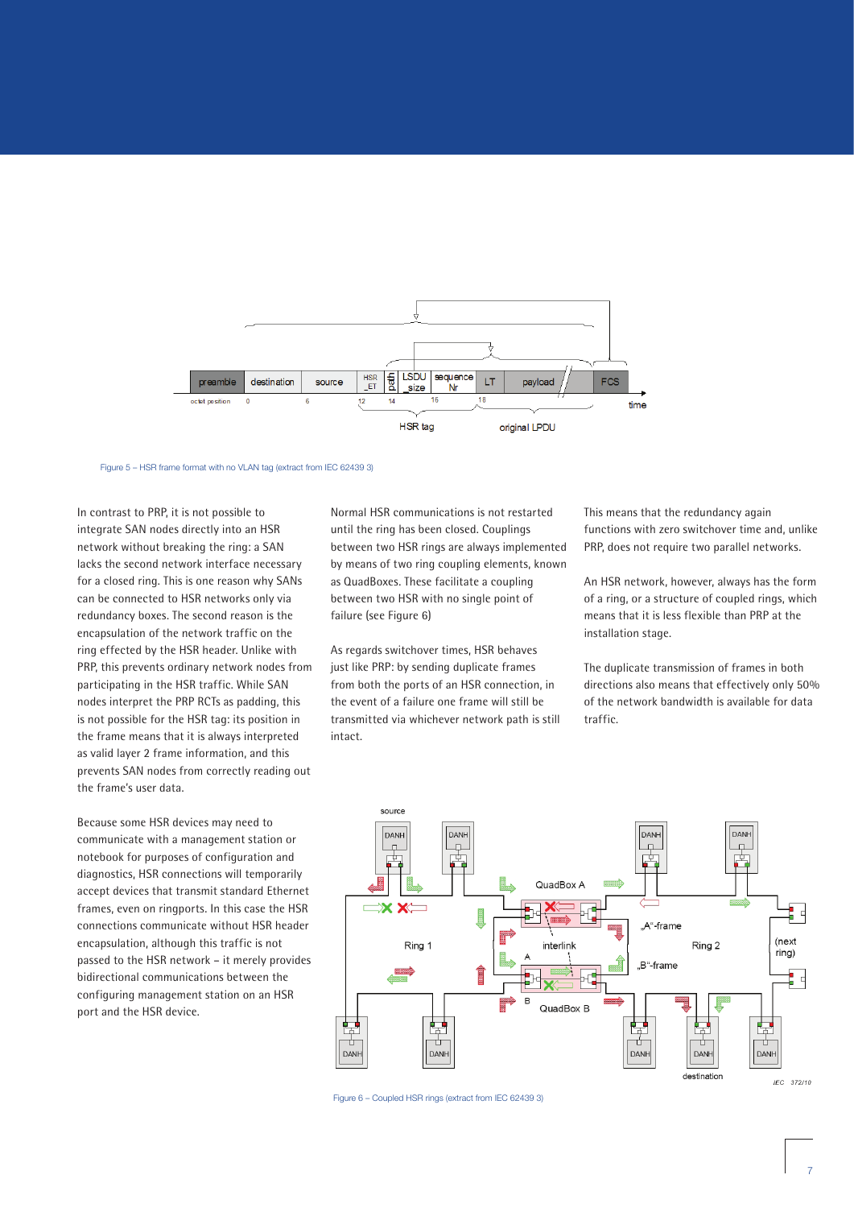

Figure 5 – HSR frame format with no VLAN tag (extract from IEC 62439 3)

In contrast to PRP, it is not possible to integrate SAN nodes directly into an HSR network without breaking the ring: a SAN lacks the second network interface necessary for a closed ring. This is one reason why SANs can be connected to HSR networks only via redundancy boxes. The second reason is the encapsulation of the network traffic on the ring effected by the HSR header. Unlike with PRP, this prevents ordinary network nodes from participating in the HSR traffic. While SAN nodes interpret the PRP RCTs as padding, this is not possible for the HSR tag: its position in the frame means that it is always interpreted as valid layer 2 frame information, and this prevents SAN nodes from correctly reading out the frame's user data.

Because some HSR devices may need to communicate with a management station or notebook for purposes of configuration and diagnostics, HSR connections will temporarily accept devices that transmit standard Ethernet frames, even on ringports. In this case the HSR connections communicate without HSR header encapsulation, although this traffic is not passed to the HSR network – it merely provides bidirectional communications between the configuring management station on an HSR port and the HSR device.

Normal HSR communications is not restarted until the ring has been closed. Couplings between two HSR rings are always implemented by means of two ring coupling elements, known as QuadBoxes. These facilitate a coupling between two HSR with no single point of failure (see Figure 6)

As regards switchover times, HSR behaves just like PRP: by sending duplicate frames from both the ports of an HSR connection, in the event of a failure one frame will still be transmitted via whichever network path is still intact.

This means that the redundancy again functions with zero switchover time and, unlike PRP, does not require two parallel networks.

An HSR network, however, always has the form of a ring, or a structure of coupled rings, which means that it is less flexible than PRP at the installation stage.

The duplicate transmission of frames in both directions also means that effectively only 50% of the network bandwidth is available for data traffic.



Figure 6 – Coupled HSR rings (extract from IEC 62439 3)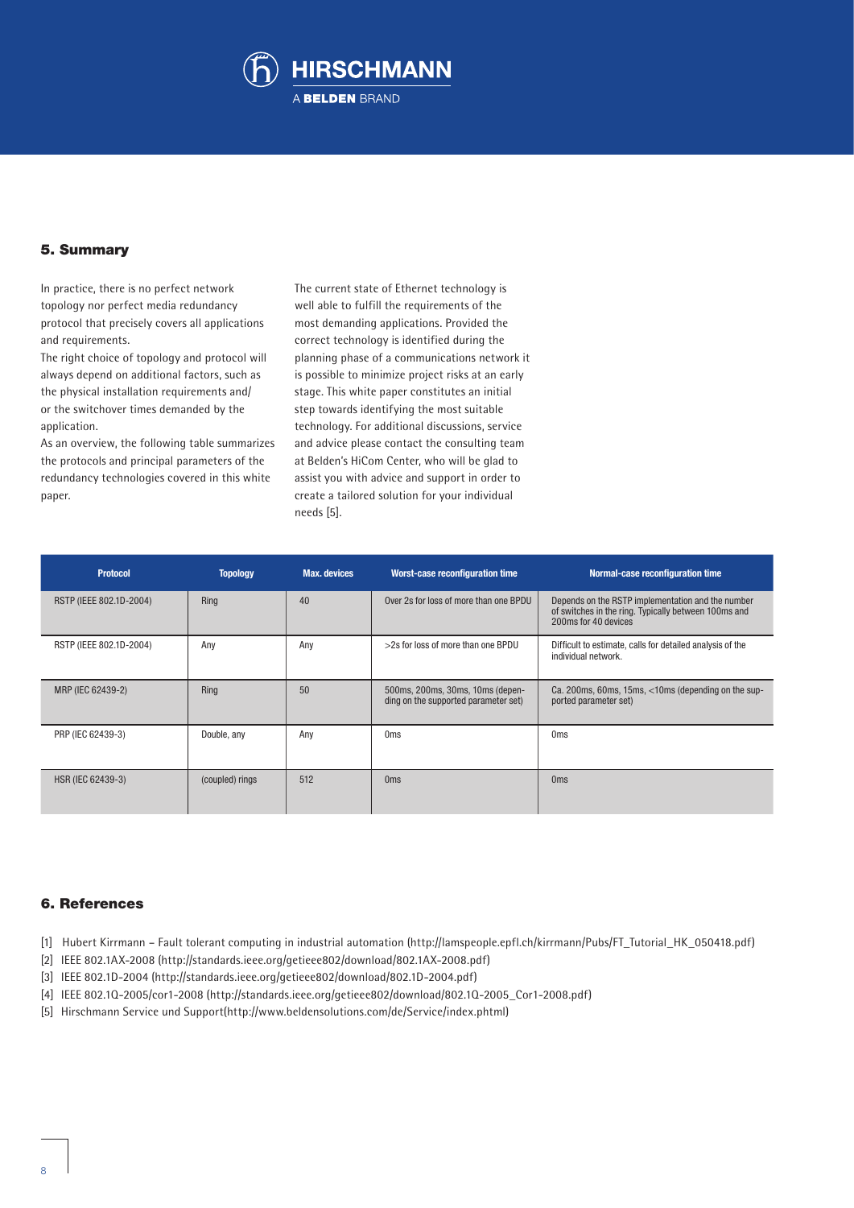

# 5. Summary

In practice, there is no perfect network topology nor perfect media redundancy protocol that precisely covers all applications and requirements.

The right choice of topology and protocol will always depend on additional factors, such as the physical installation requirements and/ or the switchover times demanded by the application.

As an overview, the following table summarizes the protocols and principal parameters of the redundancy technologies covered in this white paper.

The current state of Ethernet technology is well able to fulfill the requirements of the most demanding applications. Provided the correct technology is identified during the planning phase of a communications network it is possible to minimize project risks at an early stage. This white paper constitutes an initial step towards identifying the most suitable technology. For additional discussions, service and advice please contact the consulting team at Belden's HiCom Center, who will be glad to assist you with advice and support in order to create a tailored solution for your individual needs [5].

| <b>Protocol</b>         | <b>Topology</b> | <b>Max.</b> devices | <b>Worst-case reconfiguration time</b>                                   | Normal-case reconfiguration time                                                                                                  |
|-------------------------|-----------------|---------------------|--------------------------------------------------------------------------|-----------------------------------------------------------------------------------------------------------------------------------|
| RSTP (IEEE 802.1D-2004) | Ring            | 40                  | Over 2s for loss of more than one BPDU                                   | Depends on the RSTP implementation and the number<br>of switches in the ring. Typically between 100ms and<br>200ms for 40 devices |
| RSTP (IEEE 802.1D-2004) | Any             | Any                 | >2s for loss of more than one BPDU                                       | Difficult to estimate, calls for detailed analysis of the<br>individual network.                                                  |
| MRP (IEC 62439-2)       | Ring            | 50                  | 500ms, 200ms, 30ms, 10ms (depen-<br>ding on the supported parameter set) | Ca. 200ms, 60ms, 15ms, <10ms (depending on the sup-<br>ported parameter set)                                                      |
| PRP (IEC 62439-3)       | Double, any     | Any                 | 0 <sub>ms</sub>                                                          | 0 <sub>ms</sub>                                                                                                                   |
| HSR (IEC 62439-3)       | (coupled) rings | 512                 | 0 <sub>ms</sub>                                                          | 0 <sub>ms</sub>                                                                                                                   |

# 6. References

- [1] Hubert Kirrmann Fault tolerant computing in industrial automation (http://lamspeople.epfl.ch/kirrmann/Pubs/FT\_Tutorial\_HK\_050418.pdf)
- [2] IEEE 802.1AX-2008 (http://standards.ieee.org/getieee802/download/802.1AX-2008.pdf)
- [3] IEEE 802.1D-2004 (http://standards.ieee.org/getieee802/download/802.1D-2004.pdf)
- [4] IEEE 802.1Q-2005/cor1-2008 (http://standards.ieee.org/getieee802/download/802.1Q-2005\_Cor1-2008.pdf)
- [5] Hirschmann Service und Support(http://www.beldensolutions.com/de/Service/index.phtml)